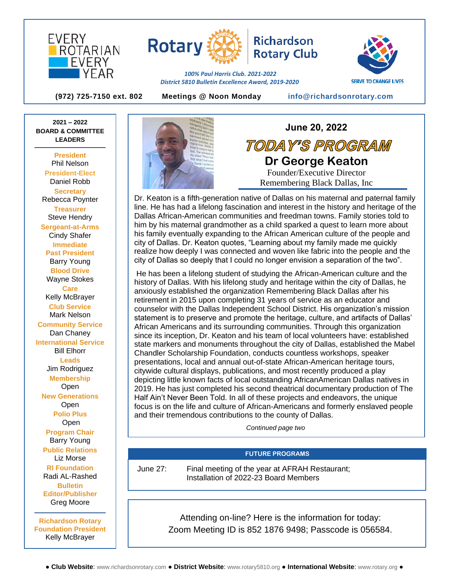



**Rotary Club** 

**SERVE TO CHANGE LIVES** 

**(972) 725-7150 ext. 802 Meetings @ Noon Monday [info@richardsonrotary.com](mailto:info@richardsonrotary.com)**

*100% Paul Harris Club. 2021-2022 District 5810 Bulletin Excellence Award, 2019-2020*

**2021 – 2022 BOARD & COMMITTEE LEADERS**

**President** Phil Nelson **President-Elect** Daniel Robb **Secretary** Rebecca Poynter **Treasurer**  Steve Hendry **Sergeant-at-Arms** Cindy Shafer **Immediate Past President** Barry Young **Blood Drive** Wayne Stokes **Care** Kelly McBrayer **Club Service** Mark Nelson **Community Service** Dan Chaney **International Service** Bill Elhorr **Leads** Jim Rodriguez **Membership** Open **New Generations Open Polio Plus** Open **Program Chair** Barry Young **Public Relations** Liz Morse **RI Foundation** Radi AL-Rashed **Bulletin Editor/Publisher** Greg Moore **Richardson Rotary Foundation President**

Kelly McBrayer



TODAY'S PROGRAM **Dr George Keaton** Founder/Executive Director Remembering Black Dallas, Inc

**June 20, 2022**

Dr. Keaton is a fifth-generation native of Dallas on his maternal and paternal family line. He has had a lifelong fascination and interest in the history and heritage of the Dallas African-American communities and freedman towns. Family stories told to him by his maternal grandmother as a child sparked a quest to learn more about his family eventually expanding to the African American culture of the people and city of Dallas. Dr. Keaton quotes, "Learning about my family made me quickly realize how deeply I was connected and woven like fabric into the people and the city of Dallas so deeply that I could no longer envision a separation of the two".

He has been a lifelong student of studying the African-American culture and the history of Dallas. With his lifelong study and heritage within the city of Dallas, he anxiously established the organization Remembering Black Dallas after his retirement in 2015 upon completing 31 years of service as an educator and counselor with the Dallas Independent School District. His organization's mission statement is to preserve and promote the heritage, culture, and artifacts of Dallas' African Americans and its surrounding communities. Through this organization since its inception, Dr. Keaton and his team of local volunteers have: established state markers and monuments throughout the city of Dallas, established the Mabel Chandler Scholarship Foundation, conducts countless workshops, speaker presentations, local and annual out-of-state African-American heritage tours, citywide cultural displays, publications, and most recently produced a play depicting little known facts of local outstanding AfricanAmerican Dallas natives in 2019. He has just completed his second theatrical documentary production of The Half Ain't Never Been Told. In all of these projects and endeavors, the unique focus is on the life and culture of African-Americans and formerly enslaved people and their tremendous contributions to the county of Dallas.

*Continued page two*

## **FUTURE PROGRAMS**

June 27: Final meeting of the year at AFRAH Restaurant; Installation of 2022-23 Board Members

> Attending on-line? Here is the information for today: Zoom Meeting ID is 852 1876 9498; Passcode is 056584.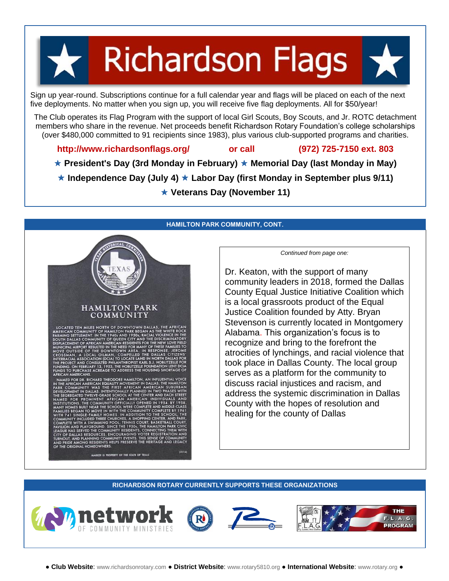# **Richardson Flags**

Sign up year-round. Subscriptions continue for a full calendar year and flags will be placed on each of the next five deployments. No matter when you sign up, you will receive five flag deployments. All for \$50/year!

The Club operates its Flag Program with the support of local Girl Scouts, Boy Scouts, and Jr. ROTC detachment members who share in the revenue. Net proceeds benefit Richardson Rotary Foundation's college scholarships (over \$480,000 committed to 91 recipients since 1983), plus various club-supported programs and charities.

# **<http://www.richardsonflags.org/>or call (972) 725-7150 ext. 803**

**★ President's Day (3rd Monday in February) ★ Memorial Day (last Monday in May)** 

**★ Independence Day (July 4) ★ Labor Day (first Monday in September plus 9/11)** 

**Veterans Day (November 11)**

## **HAMILTON PARK COMMUNITY, CONT.**



*Continued from page one:*

Dr. Keaton, with the support of many community leaders in 2018, formed the Dallas County Equal Justice Initiative Coalition which is a local grassroots product of the Equal Justice Coalition founded by Atty. Bryan Stevenson is currently located in Montgomery Alabama. This organization's focus is to recognize and bring to the forefront the atrocities of lynchings, and racial violence that took place in Dallas County. The local group serves as a platform for the community to discuss racial injustices and racism, and address the systemic discrimination in Dallas County with the hopes of resolution and healing for the county of Dallas

## **RICHARDSON ROTARY CURRENTLY SUPPORTS THESE ORGANIZATIONS**